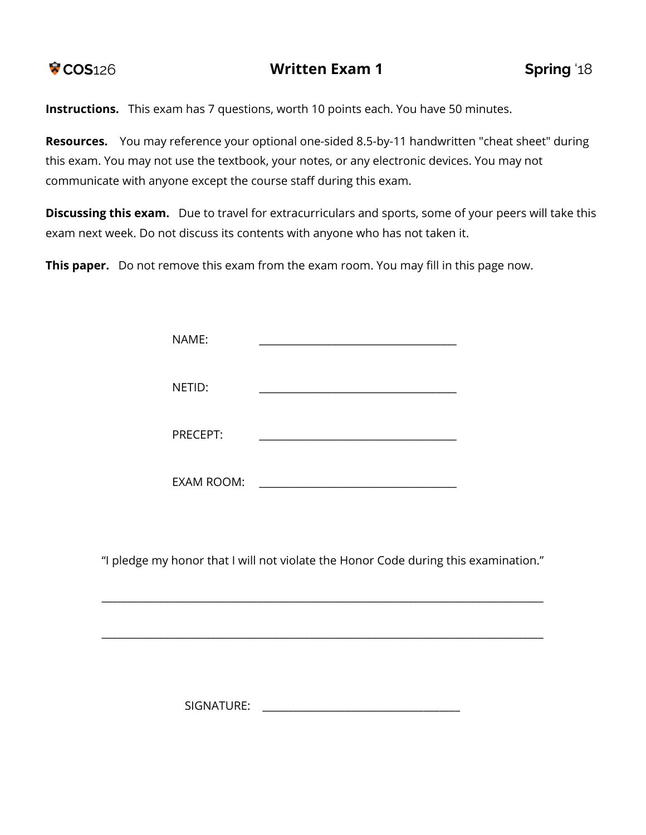

**Instructions.** This exam has 7 questions, worth 10 points each. You have 50 minutes.

**Resources.** You may reference your optional one-sided 8.5-by-11 handwritten "cheat sheet" during this exam. You may not use the textbook, your notes, or any electronic devices. You may not communicate with anyone except the course staff during this exam.

**Discussing this exam.** Due to travel for extracurriculars and sports, some of your peers will take this exam next week. Do not discuss its contents with anyone who has not taken it.

**This paper.** Do not remove this exam from the exam room. You may fill in this page now.

| NAME:             |  |
|-------------------|--|
| NETID:            |  |
| PRECEPT:          |  |
| <b>EXAM ROOM:</b> |  |

"I pledge my honor that I will not violate the Honor Code during this examination."

\_\_\_\_\_\_\_\_\_\_\_\_\_\_\_\_\_\_\_\_\_\_\_\_\_\_\_\_\_\_\_\_\_\_\_\_\_\_\_\_\_\_\_\_\_\_\_\_\_\_\_\_\_\_\_\_\_\_\_\_\_\_\_\_\_\_\_\_\_\_\_\_\_\_\_\_\_\_\_\_\_\_\_\_\_

\_\_\_\_\_\_\_\_\_\_\_\_\_\_\_\_\_\_\_\_\_\_\_\_\_\_\_\_\_\_\_\_\_\_\_\_\_\_\_\_\_\_\_\_\_\_\_\_\_\_\_\_\_\_\_\_\_\_\_\_\_\_\_\_\_\_\_\_\_\_\_\_\_\_\_\_\_\_\_\_\_\_\_\_\_

SIGNATURE: \_\_\_\_\_\_\_\_\_\_\_\_\_\_\_\_\_\_\_\_\_\_\_\_\_\_\_\_\_\_\_\_\_\_\_\_\_\_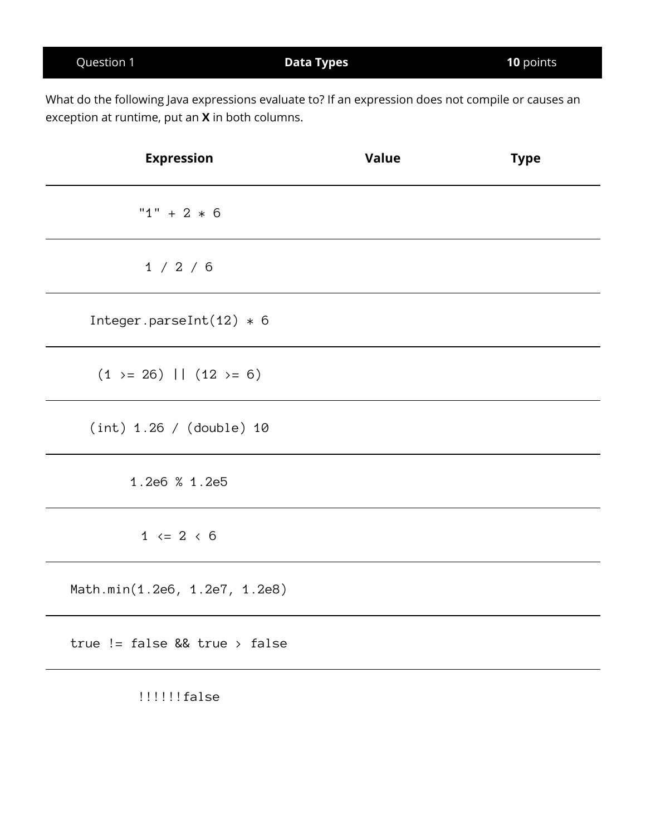| What do the following Java expressions evaluate to? If an expression does not compile or causes an<br>exception at runtime, put an X in both columns. |              |             |
|-------------------------------------------------------------------------------------------------------------------------------------------------------|--------------|-------------|
| <b>Expression</b>                                                                                                                                     | <b>Value</b> | <b>Type</b> |
| " $1" + 2 * 6$                                                                                                                                        |              |             |
| 1 / 2 / 6                                                                                                                                             |              |             |
| Integer.parseInt $(12) * 6$                                                                                                                           |              |             |
| $(1 \ge 26)$   $(12 \ge 6)$                                                                                                                           |              |             |
| (int) 1.26 / (double) 10                                                                                                                              |              |             |
| 1.2e6 % 1.2e5                                                                                                                                         |              |             |
| $1 \le 2 \le 6$                                                                                                                                       |              |             |

Question 1 **Data Types 10** points

Math.min(1.2e6, 1.2e7, 1.2e8)

true != false && true > false

!!!!!!!false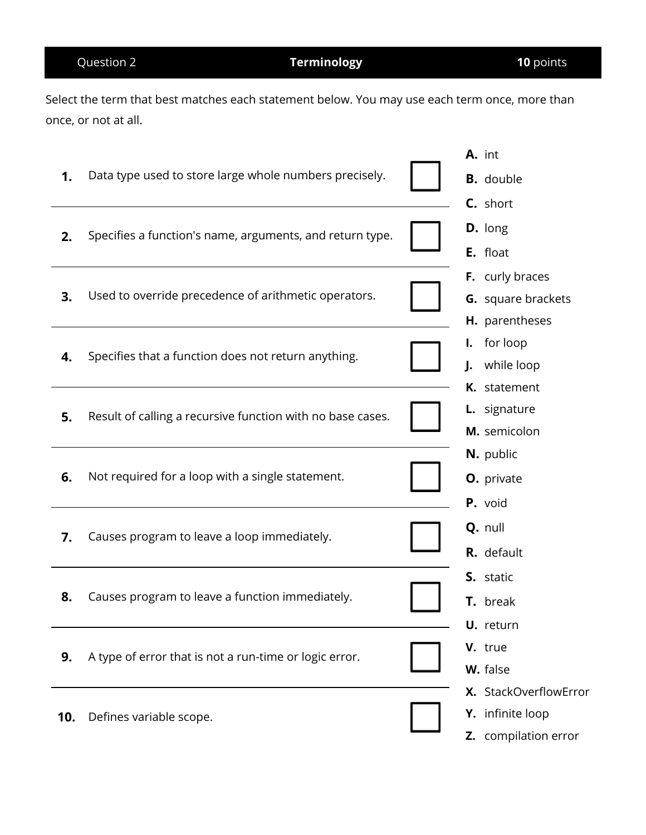Select the term that best matches each statement below. You may use each term once, more than once, or not at all.

|     |                                                            | A. int                       |  |
|-----|------------------------------------------------------------|------------------------------|--|
| 1.  | Data type used to store large whole numbers precisely.     | <b>B.</b> double             |  |
|     |                                                            | C. short                     |  |
| 2.  | Specifies a function's name, arguments, and return type.   | D. long                      |  |
|     |                                                            | E. float                     |  |
|     |                                                            | F. curly braces              |  |
| 3.  | Used to override precedence of arithmetic operators.       | <b>G.</b> square brackets    |  |
|     |                                                            | H. parentheses               |  |
|     |                                                            | for loop<br>I.               |  |
| 4.  | Specifies that a function does not return anything.        | while loop<br>$\mathbf{l}$ . |  |
|     |                                                            | K. statement                 |  |
| 5.  | Result of calling a recursive function with no base cases. | <b>L.</b> signature          |  |
|     |                                                            | M. semicolon                 |  |
|     |                                                            | N. public                    |  |
| 6.  | Not required for a loop with a single statement.           | O. private                   |  |
|     |                                                            | P. void                      |  |
| 7.  | Causes program to leave a loop immediately.                | Q. null                      |  |
|     |                                                            | R. default                   |  |
|     |                                                            | S. static                    |  |
| 8.  | Causes program to leave a function immediately.            | T. break                     |  |
|     |                                                            | U. return                    |  |
|     |                                                            | V. true                      |  |
| 9.  | A type of error that is not a run-time or logic error.     | W. false                     |  |
|     |                                                            | X. StackOverflowError        |  |
| 10. | Defines variable scope.                                    | Y. infinite loop             |  |
|     |                                                            | <b>Z.</b> compilation error  |  |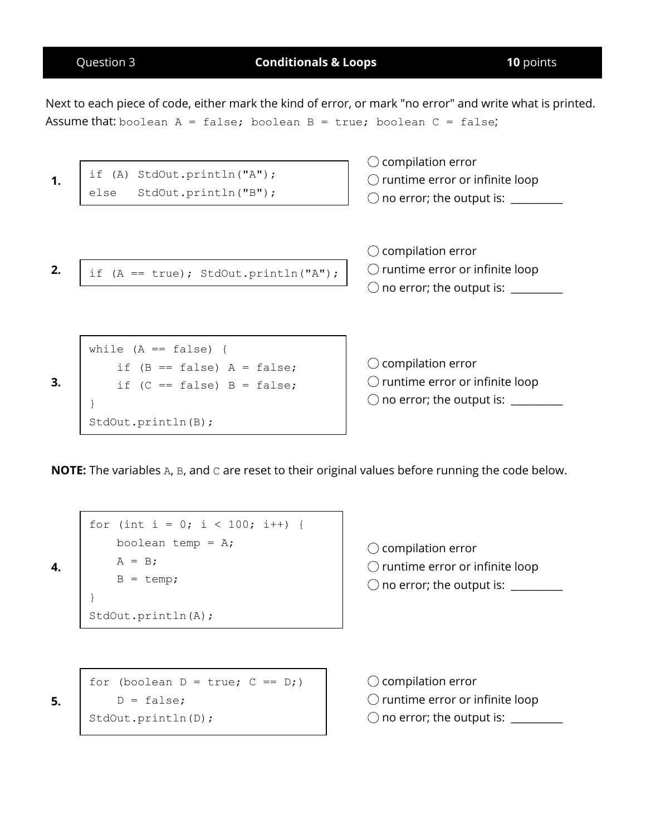|    | Question 3                          | <b>Conditionals &amp; Loops</b>                                               | <b>10</b> points                                                                                                                          |
|----|-------------------------------------|-------------------------------------------------------------------------------|-------------------------------------------------------------------------------------------------------------------------------------------|
|    |                                     | Assume that: boolean $A = false$ ; boolean $B = true$ ; boolean $C = false$ ; | Next to each piece of code, either mark the kind of error, or mark "no error" and write what is printed.                                  |
| 1. | if (A) StdOut.println("A");<br>else | StdOut.println("B");                                                          | compilation error<br>$\bigcirc$ runtime error or infinite loop<br>$\bigcirc$ no error; the output is: $\overline{\phantom{a}}$            |
| 2. |                                     | if $(A == true)$ ; StdOut.println("A");                                       | $\bigcirc$ compilation error<br>$\bigcirc$ runtime error or infinite loop<br>$\bigcirc$ no error; the output is: $\overline{\phantom{a}}$ |
|    | while $(A == false)$ {              | if $(B == false)$ A = false;                                                  | compilation error                                                                                                                         |

**NOTE:** The variables A, B, and C are reset to their original values before running the code below.

```
for (int i = 0; i < 100; i++) {
   boolean temp = A;
   A = B;B = temp;}
StdOut.println(A);
```
if  $(C == false)$  B = false;

 $\bigcirc$  compilation error  $\bigcirc$  runtime error or infinite loop  $\bigcirc$  no error; the output is:  $\frac{1}{\sqrt{1-\frac{1}{2}}}\left\vert \frac{1}{\sqrt{1-\frac{1}{2}}}\right\vert$ 

 $\bigcirc$  runtime error or infinite loop

 $\bigcirc$  no error; the output is:  $\frac{1}{\sqrt{1-\frac{1}{2}}}\left\vert \frac{1}{\sqrt{1-\frac{1}{2}}}\right\vert$ 

for (boolean  $D = true$ ;  $C == D$ ;)  $D = false;$ StdOut.println(D);

 $\bigcirc$  compilation error  $\bigcirc$  runtime error or infinite loop  $\bigcirc$  no error; the output is:  $\frac{1}{\sqrt{1-\frac{1}{2}}}\left\vert \frac{1}{\sqrt{1-\frac{1}{2}}}\right\vert$ 

**5.**

**3.**

**4.**

}

StdOut.println(B);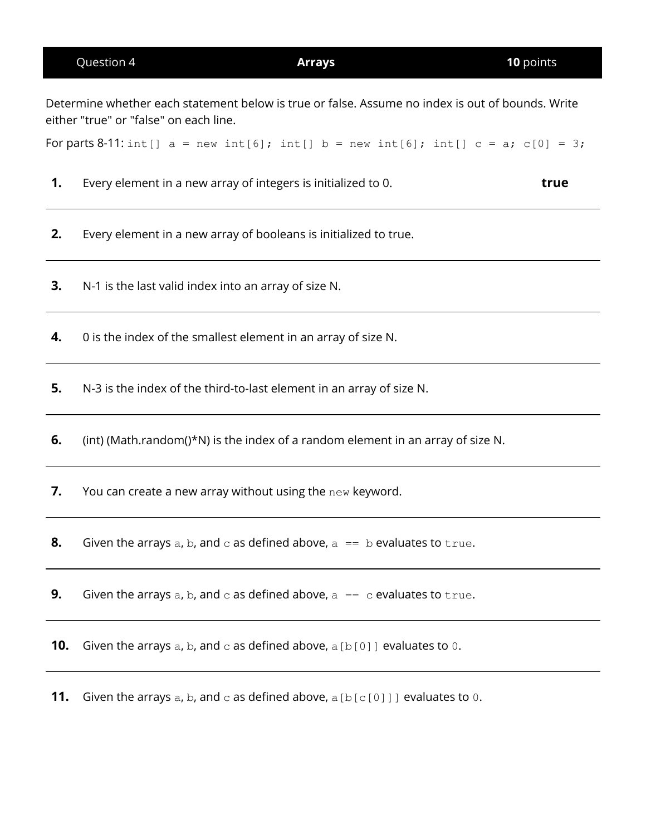|     | either "true" or "false" on each line.                                                      |
|-----|---------------------------------------------------------------------------------------------|
|     | For parts 8-11: int[] $a = new int[6]$ ; int[] $b = new int[6]$ ; int[] $c = a$ ; c[0] = 3; |
| 1.  | Every element in a new array of integers is initialized to 0.<br>true                       |
| 2.  | Every element in a new array of booleans is initialized to true.                            |
| 3.  | N-1 is the last valid index into an array of size N.                                        |
| 4.  | 0 is the index of the smallest element in an array of size N.                               |
| 5.  | N-3 is the index of the third-to-last element in an array of size N.                        |
| 6.  | (int) (Math.random()*N) is the index of a random element in an array of size N.             |
| 7.  | You can create a new array without using the new keyword.                                   |
| 8.  | Given the arrays a, b, and c as defined above, $a == b$ evaluates to true.                  |
| 9.  | Given the arrays a, b, and c as defined above, $a = c$ evaluates to true.                   |
| 10. | Given the arrays a, b, and $\circ$ as defined above, a [b[0]] evaluates to 0.               |
| 11. | Given the arrays a, b, and $c$ as defined above, a [b[ $c$ [0]]] evaluates to 0.            |
|     |                                                                                             |
|     |                                                                                             |
|     |                                                                                             |
|     |                                                                                             |

Question 4 **Arrays 10** points

Determine whether each statement below is true or false. Assume no index is out of bounds. Write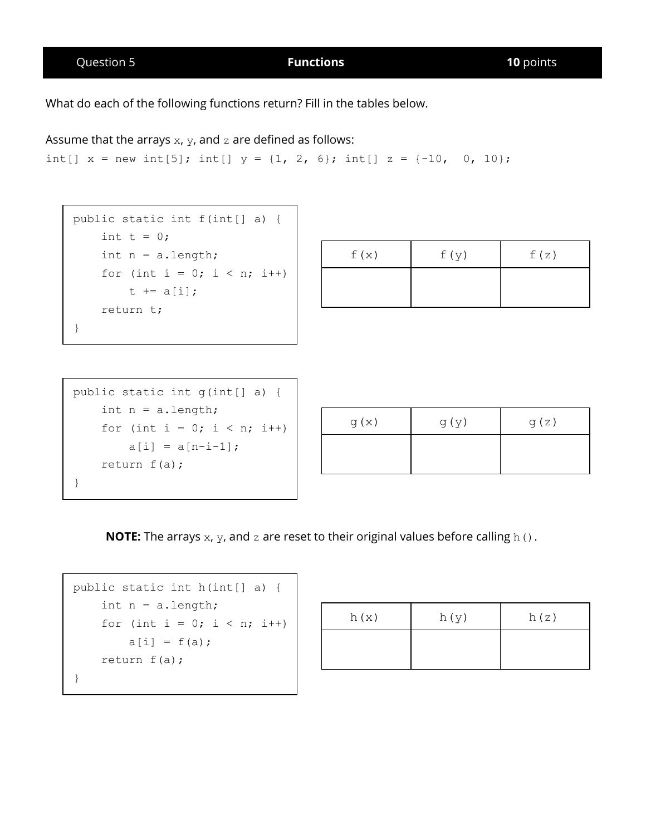Question 5 **Functions 10** points

What do each of the following functions return? Fill in the tables below.

Assume that the arrays  $x$ ,  $y$ , and  $z$  are defined as follows:

```
int[] x = new int[5]; int[] y = \{1, 2, 6\}; int[] z = \{-10, 0, 10\};
```

```
public static int f(int[] a) {
    int t = 0;
    int n = a.length;
    for (int i = 0; i < n; i++)t += a[i];
    return t;
}
```

| f(x) | f(y) | f(z) |
|------|------|------|
|      |      |      |

| public static int $q(int[] a)$ { |
|----------------------------------|
| int $n = a.length;$              |
| for (int i = 0; i < n; i++)      |
| $a[i] = a[n-i-1]$ ;              |
| return $f(a)$ ;                  |
|                                  |

| g(x) | $d(\lambda)$ | g(z) |
|------|--------------|------|
|      |              |      |

**NOTE:** The arrays x, y, and z are reset to their original values before calling h().

```
public static int h(int[] a) {
    int n = a.length;
    for (int i = 0; i < n; i++)
       a[i] = f(a);return f(a);
}
```

| h(x) | h(y) | h(z) |
|------|------|------|
|      |      |      |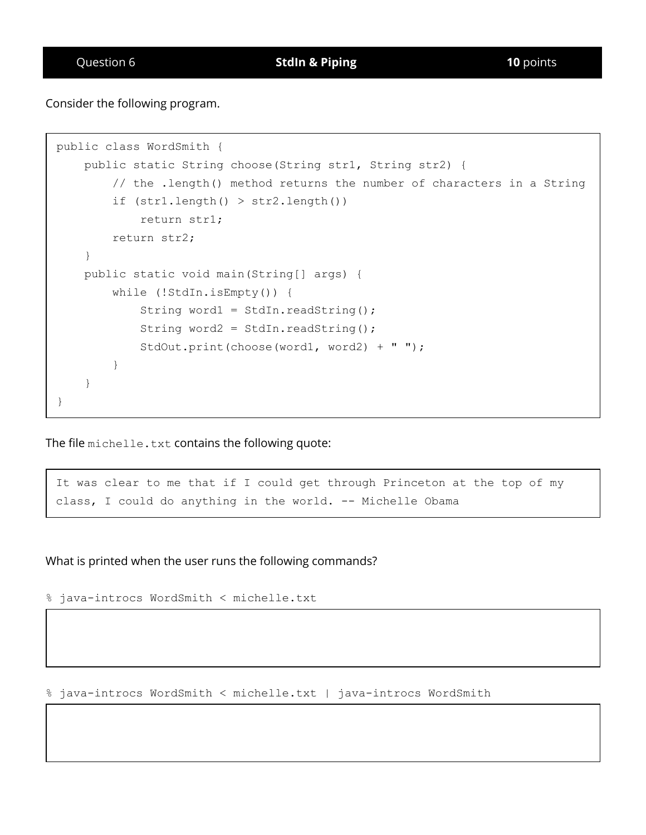Consider the following program.

```
public class WordSmith {
    public static String choose(String str1, String str2) {
        // the .length() method returns the number of characters in a String
        if (str1.length() > str2.length())
            return str1;
        return str2;
    }
    public static void main(String[] args) {
        while (!StdIn.isEmpty()) {
            String word1 = StdIn.readString();
            String word2 = StdIn.readString();
            StdOut.print(choose(word1, word2) + " ");
        }
    }
}
```
The file michelle.txt contains the following quote:

It was clear to me that if I could get through Princeton at the top of my class, I could do anything in the world. -- Michelle Obama

What is printed when the user runs the following commands?

% java-introcs WordSmith < michelle.txt

% java-introcs WordSmith < michelle.txt | java-introcs WordSmith